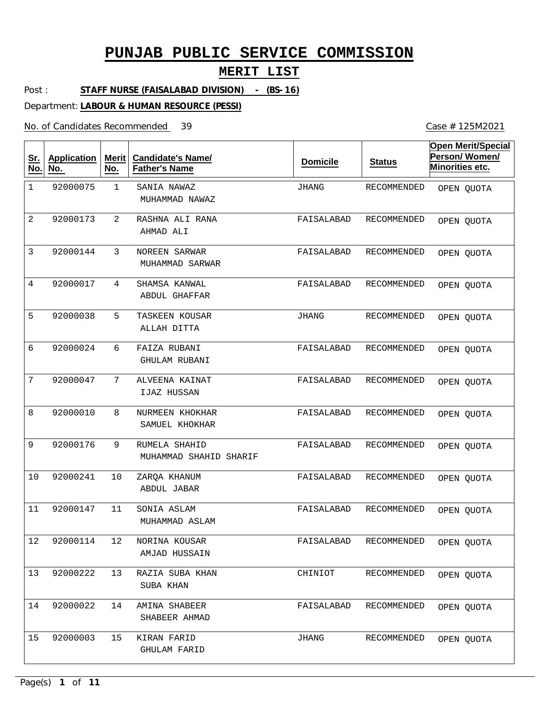### **MERIT LIST**

Post : **STAFF NURSE (FAISALABAD DIVISION) - (BS-16)**

Department: **LABOUR & HUMAN RESOURCE (PESSI)**

No. of Candidates Recommended

| <u>Sr.</u><br>No. | <b>Application</b><br>No. | Merit<br>No.   | <b>Candidate's Name/</b><br><b>Father's Name</b> | <b>Domicile</b> | <b>Status</b>      | <b>Open Merit/Special</b><br>Person/Women/<br>Minorities etc. |
|-------------------|---------------------------|----------------|--------------------------------------------------|-----------------|--------------------|---------------------------------------------------------------|
| $\mathbf 1$       | 92000075                  | $\mathbf{1}$   | SANIA NAWAZ<br>MUHAMMAD NAWAZ                    | JHANG           | <b>RECOMMENDED</b> | OPEN QUOTA                                                    |
| 2                 | 92000173                  | $\overline{2}$ | RASHNA ALI RANA<br>AHMAD ALI                     | FAISALABAD      | RECOMMENDED        | OPEN QUOTA                                                    |
| 3                 | 92000144                  | 3              | NOREEN SARWAR<br>MUHAMMAD SARWAR                 | FAISALABAD      | <b>RECOMMENDED</b> | OPEN QUOTA                                                    |
| 4                 | 92000017                  | 4              | SHAMSA KANWAL<br>ABDUL GHAFFAR                   | FAISALABAD      | RECOMMENDED        | OPEN QUOTA                                                    |
| 5                 | 92000038                  | 5              | TASKEEN KOUSAR<br>ALLAH DITTA                    | <b>JHANG</b>    | <b>RECOMMENDED</b> | OPEN QUOTA                                                    |
| 6                 | 92000024                  | 6              | FAIZA RUBANI<br>GHULAM RUBANI                    | FAISALABAD      | RECOMMENDED        | OPEN QUOTA                                                    |
| 7                 | 92000047                  | 7              | ALVEENA KAINAT<br>IJAZ HUSSAN                    | FAISALABAD      | RECOMMENDED        | OPEN QUOTA                                                    |
| 8                 | 92000010                  | 8              | NURMEEN KHOKHAR<br>SAMUEL KHOKHAR                | FAISALABAD      | RECOMMENDED        | OPEN QUOTA                                                    |
| 9                 | 92000176                  | 9              | RUMELA SHAHID<br>MUHAMMAD SHAHID SHARIF          | FAISALABAD      | RECOMMENDED        | OPEN QUOTA                                                    |
| 10                | 92000241                  | 10             | ZARQA KHANUM<br>ABDUL JABAR                      | FAISALABAD      | RECOMMENDED        | OPEN QUOTA                                                    |
| 11                | 92000147                  | 11             | SONIA ASLAM<br>MUHAMMAD ASLAM                    | FAISALABAD      | RECOMMENDED        | OPEN QUOTA                                                    |
| 12                | 92000114                  | 12             | NORINA KOUSAR<br>AMJAD HUSSAIN                   | FAISALABAD      | RECOMMENDED        | OPEN QUOTA                                                    |
| 13                | 92000222                  | 13             | RAZIA SUBA KHAN<br>SUBA KHAN                     | CHINIOT         | RECOMMENDED        | OPEN QUOTA                                                    |
| 14                | 92000022                  | 14             | AMINA SHABEER<br>SHABEER AHMAD                   | FAISALABAD      | RECOMMENDED        | OPEN QUOTA                                                    |
| 15                | 92000003                  | 15             | KIRAN FARID<br><b>GHULAM FARID</b>               | JHANG           | RECOMMENDED        | OPEN QUOTA                                                    |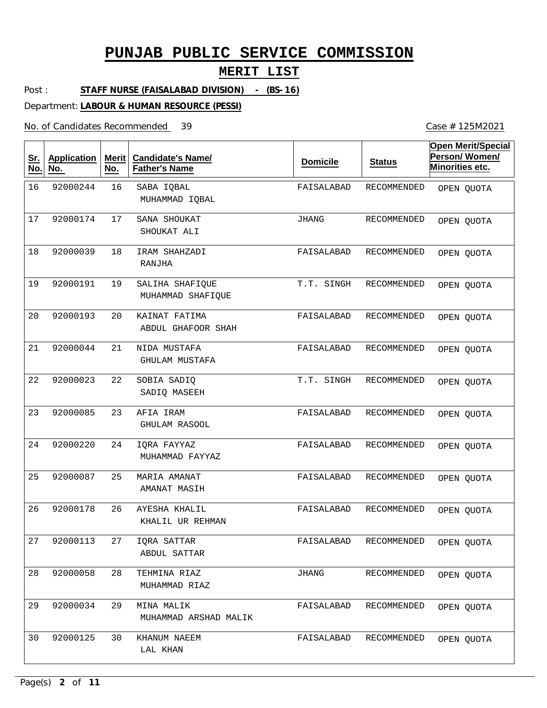### **MERIT LIST**

Post : **STAFF NURSE (FAISALABAD DIVISION) - (BS-16)**

Department: **LABOUR & HUMAN RESOURCE (PESSI)**

No. of Candidates Recommended

| <u>Sr.</u><br>No. | <b>Application</b><br>No. | Merit<br>No. | <b>Candidate's Name/</b><br><b>Father's Name</b> | <b>Domicile</b> | <b>Status</b> | <b>Open Merit/Special</b><br>Person/Women/<br>Minorities etc. |
|-------------------|---------------------------|--------------|--------------------------------------------------|-----------------|---------------|---------------------------------------------------------------|
| 16                | 92000244                  | 16           | SABA IQBAL<br>MUHAMMAD IQBAL                     | FAISALABAD      | RECOMMENDED   | OPEN QUOTA                                                    |
| 17                | 92000174                  | 17           | SANA SHOUKAT<br>SHOUKAT ALI                      | <b>JHANG</b>    | RECOMMENDED   | OPEN QUOTA                                                    |
| 18                | 92000039                  | 18           | IRAM SHAHZADI<br>RANJHA                          | FAISALABAD      | RECOMMENDED   | OPEN QUOTA                                                    |
| 19                | 92000191                  | 19           | SALIHA SHAFIQUE<br>MUHAMMAD SHAFIQUE             | T.T. SINGH      | RECOMMENDED   | OPEN QUOTA                                                    |
| 20                | 92000193                  | 20           | KAINAT FATIMA<br>ABDUL GHAFOOR SHAH              | FAISALABAD      | RECOMMENDED   | OPEN QUOTA                                                    |
| 21                | 92000044                  | 21           | NIDA MUSTAFA<br><b>GHULAM MUSTAFA</b>            | FAISALABAD      | RECOMMENDED   | OPEN QUOTA                                                    |
| 22                | 92000023                  | 22           | SOBIA SADIQ<br>SADIO MASEEH                      | T.T. SINGH      | RECOMMENDED   | OPEN QUOTA                                                    |
| 23                | 92000085                  | 23           | AFIA IRAM<br><b>GHULAM RASOOL</b>                | FAISALABAD      | RECOMMENDED   | OPEN QUOTA                                                    |
| 24                | 92000220                  | 24           | IQRA FAYYAZ<br>MUHAMMAD FAYYAZ                   | FAISALABAD      | RECOMMENDED   | OPEN QUOTA                                                    |
| 25                | 92000087                  | 25           | MARIA AMANAT<br>AMANAT MASIH                     | FAISALABAD      | RECOMMENDED   | OPEN QUOTA                                                    |
| 26                | 92000178                  | 26           | AYESHA KHALIL<br>KHALIL UR REHMAN                | FAISALABAD      | RECOMMENDED   | OPEN QUOTA                                                    |
| 27                | 92000113                  | 27           | IQRA SATTAR<br>ABDUL SATTAR                      | FAISALABAD      | RECOMMENDED   | OPEN QUOTA                                                    |
| 28                | 92000058                  | 28           | TEHMINA RIAZ<br>MUHAMMAD RIAZ                    | JHANG           | RECOMMENDED   | OPEN QUOTA                                                    |
| 29                | 92000034                  | 29           | MINA MALIK<br>MUHAMMAD ARSHAD MALIK              | FAISALABAD      | RECOMMENDED   | OPEN QUOTA                                                    |
| 30                | 92000125                  | 30           | KHANUM NAEEM<br>LAL KHAN                         | FAISALABAD      | RECOMMENDED   | OPEN QUOTA                                                    |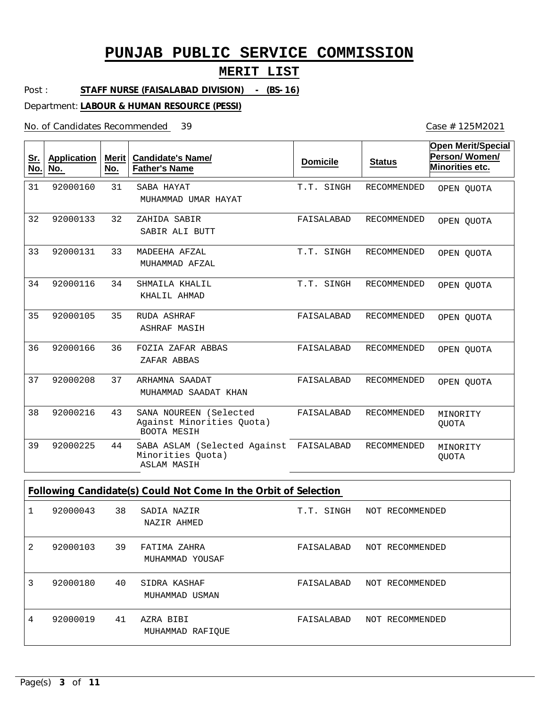### **MERIT LIST**

Post : **STAFF NURSE (FAISALABAD DIVISION) - (BS-16)**

Department: **LABOUR & HUMAN RESOURCE (PESSI)**

No. of Candidates Recommended

Case # 125M2021

| <u>Sr.</u><br>No. | <b>Application</b><br>No. | Merit<br>No. | <b>Candidate's Name/</b><br><b>Father's Name</b>                          | <b>Domicile</b> | <b>Status</b>      | <b>Open Merit/Special</b><br>Person/Women/<br>Minorities etc. |
|-------------------|---------------------------|--------------|---------------------------------------------------------------------------|-----------------|--------------------|---------------------------------------------------------------|
| 31                | 92000160                  | 31           | SABA HAYAT<br>MUHAMMAD UMAR HAYAT                                         | T.T. SINGH      | <b>RECOMMENDED</b> | OPEN QUOTA                                                    |
| 32                | 92000133                  | 32           | ZAHIDA SABIR<br>SABIR ALI BUTT                                            | FAISALABAD      | <b>RECOMMENDED</b> | OPEN QUOTA                                                    |
| 33                | 92000131                  | 33           | MADEEHA AFZAL<br>MUHAMMAD AFZAL                                           | T.T. SINGH      | <b>RECOMMENDED</b> | OPEN QUOTA                                                    |
| 34                | 92000116                  | 34           | SHMAILA KHALIL<br>KHALIL AHMAD                                            | T.T. SINGH      | <b>RECOMMENDED</b> | OPEN OUOTA                                                    |
| 35                | 92000105                  | 35           | RUDA ASHRAF<br><b>ASHRAF MASIH</b>                                        | FAISALABAD      | RECOMMENDED        | OPEN OUOTA                                                    |
| 36                | 92000166                  | 36           | FOZIA ZAFAR ABBAS<br>ZAFAR ABBAS                                          | FAISALABAD      | <b>RECOMMENDED</b> | OPEN OUOTA                                                    |
| 37                | 92000208                  | 37           | ARHAMNA SAADAT<br>MUHAMMAD SAADAT KHAN                                    | FAISALABAD      | <b>RECOMMENDED</b> | OPEN OUOTA                                                    |
| 38                | 92000216                  | 43           | SANA NOUREEN (Selected<br>Against Minorities Quota)<br><b>BOOTA MESIH</b> | FAISALABAD      | <b>RECOMMENDED</b> | MINORITY<br><b>QUOTA</b>                                      |
| 39                | 92000225                  | 44           | SABA ASLAM (Selected Against<br>Minorities Quota)<br><b>ASLAM MASIH</b>   | FAISALABAD      | <b>RECOMMENDED</b> | MINORITY<br><b>QUOTA</b>                                      |

**Following Candidate(s) Could Not Come In the Orbit of Selection**

|                | 92000043 | 38 | SADIA NAZIR<br>NAZIR AHMED      | T.T. SINGH | NOT RECOMMENDED |
|----------------|----------|----|---------------------------------|------------|-----------------|
| $\overline{2}$ | 92000103 | 39 | FATIMA ZAHRA<br>MUHAMMAD YOUSAF | FAISALABAD | NOT RECOMMENDED |
| 3              | 92000180 | 40 | SIDRA KASHAF<br>MUHAMMAD USMAN  | FAISALABAD | NOT RECOMMENDED |
| 4              | 92000019 | 41 | AZRA BIBI<br>MUHAMMAD RAFIOUE   | FAISALABAD | NOT RECOMMENDED |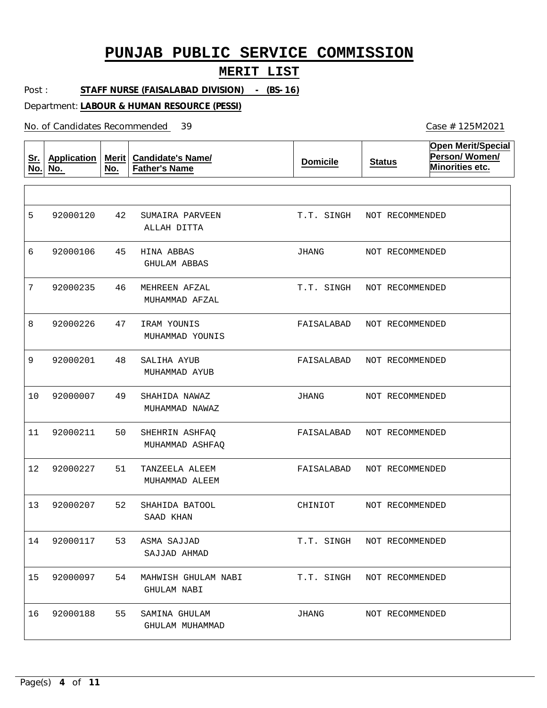#### **MERIT LIST**

Post : **STAFF NURSE (FAISALABAD DIVISION) - (BS-16)**

Department: **LABOUR & HUMAN RESOURCE (PESSI)**

No. of Candidates Recommended

**Sr. No. Application No. Merit No. Candidate's Name/ Father's Name Domicile Status Open Merit/Special Person/ Women/ Minorities etc.** 42 45 HINA ABBAS 46 47 48 49 50 51 52 53 ASMA SAJJAD 54 MAHWISH GHULAM NABI 55 SUMAIRA PARVEEN MEHREEN AFZAL IRAM YOUNIS SALIHA AYUB SHAHIDA NAWAZ SHEHRIN ASHFAQ TANZEELA ALEEM SHAHIDA BATOOL SAMINA GHULAM ALLAH DITTA GHULAM ABBAS MUHAMMAD AFZAL MUHAMMAD YOUNIS MUHAMMAD AYUB MUHAMMAD NAWAZ MUHAMMAD ASHFAQ MUHAMMAD ALEEM SAAD KHAN SAJJAD AHMAD GHULAM NABI GHULAM MUHAMMAD 5 6 7 8 9 10 11 12 92000227 13 92000207 14 92000117 15 92000097 16 92000120 92000106 92000235 92000226 92000201 92000007 92000211 92000188 T.T. SINGH NOT RECOMMENDED JHANG T.T. SINGH FAISALABAD FAISALABAD NOT RECOMMENDED JHANG FAISALABAD NOT RECOMMENDED FAISALABAD NOT RECOMMENDED CHINIOT T.T. SINGH NOT RECOMMENDED T.T. SINGH NOT RECOMMENDED JHANG NOT RECOMMENDED NOT RECOMMENDED NOT RECOMMENDED NOT RECOMMENDED NOT RECOMMENDED NOT RECOMMENDED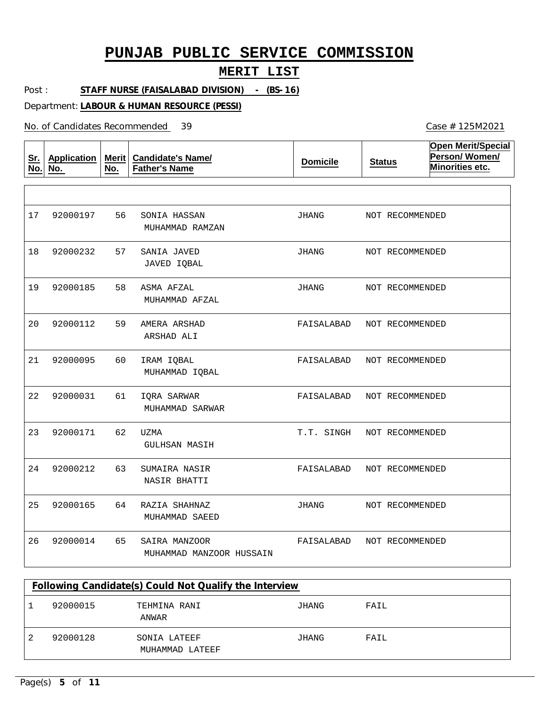#### **MERIT LIST**

Post : **STAFF NURSE (FAISALABAD DIVISION) - (BS-16)**

Department: **LABOUR & HUMAN RESOURCE (PESSI)**

No. of Candidates Recommended

**Sr. No. Application No. Merit No. Candidate's Name/ Father's Name Domicile Status Open Merit/Special Person/ Women/ Minorities etc.** 56 57 58 59 60 61 62 63 64 65 SONIA HASSAN SANIA JAVED ASMA AFZAL AMERA ARSHAD IRAM IQBAL IQRA SARWAR UZMA SUMAIRA NASIR RAZIA SHAHNAZ SAIRA MANZOOR MUHAMMAD RAMZAN JAVED IQBAL MUHAMMAD AFZAL ARSHAD ALI MUHAMMAD IQBAL MUHAMMAD SARWAR GULHSAN MASIH NASIR BHATTI MUHAMMAD SAEED MUHAMMAD MANZOOR HUSSAIN 17 18 92000232 19 20 21 22 23 24 92000212 25 26 92000197 92000185 92000112 92000095 92000031 92000171 92000165 92000014 JHANG JHANG JHANG FAISALABAD FAISALABAD NOT RECOMMENDED FAISALABAD T.T. SINGH FAISALABAD JHANG FAISALABAD NOT RECOMMENDED NOT RECOMMENDED NOT RECOMMENDED NOT RECOMMENDED NOT RECOMMENDED NOT RECOMMENDED NOT RECOMMENDED NOT RECOMMENDED NOT RECOMMENDED

| Following Candidate(s) Could Not Qualify the Interview |                                 |       |      |  |  |  |  |
|--------------------------------------------------------|---------------------------------|-------|------|--|--|--|--|
| 92000015                                               | TEHMINA RANI<br>ANWAR           | JHANG | FAIL |  |  |  |  |
| 92000128                                               | SONIA LATEEF<br>MUHAMMAD LATEEF | JHANG | FAIL |  |  |  |  |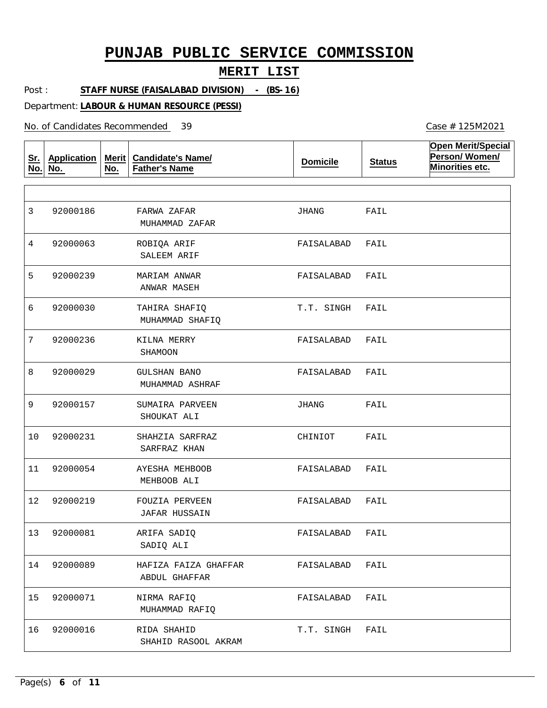#### **MERIT LIST**

Post : **STAFF NURSE (FAISALABAD DIVISION) - (BS-16)**

Department: **LABOUR & HUMAN RESOURCE (PESSI)**

No. of Candidates Recommended

**Sr. No. Application No. Merit No. Candidate's Name/ Father's Name Domicile Status Open Merit/Special Person/ Women/ Minorities etc.** FARWA ZAFAR ROBIQA ARIF MARIAM ANWAR TAHIRA SHAFIQ KILNA MERRY GULSHAN BANO SUMAIRA PARVEEN SHAHZIA SARFRAZ AYESHA MEHBOOB FOUZIA PERVEEN ARIFA SADIQ HAFIZA FAIZA GHAFFAR NIRMA RAFIQ RIDA SHAHID MUHAMMAD ZAFAR SALEEM ARIF ANWAR MASEH MUHAMMAD SHAFIQ SHAMOON MUHAMMAD ASHRAF SHOUKAT ALI SARFRAZ KHAN MEHBOOB ALI JAFAR HUSSAIN SADIQ ALI ABDUL GHAFFAR MUHAMMAD RAFIQ SHAHID RASOOL AKRAM 3 4 5 6 7 8 9 10 11 12 92000219 13 92000081 14 15 92000071 16 92000186 92000063 92000239 92000030 92000236 92000029 92000157 92000231 92000054 92000089 92000016 JHANG FAISALABAD FAISALABAD T.T. SINGH FAISALABAD FAISALABAD JHANG CHINIOT FAISALABAD FAISALABAD FAISALABAD FAISALABAD FAISALABAD T.T. SINGH FAIL FAIL FAIL FAIL FAIL FAIL FAIL FAIL FAIL FAIL FAIL FAIL FAIL FAIL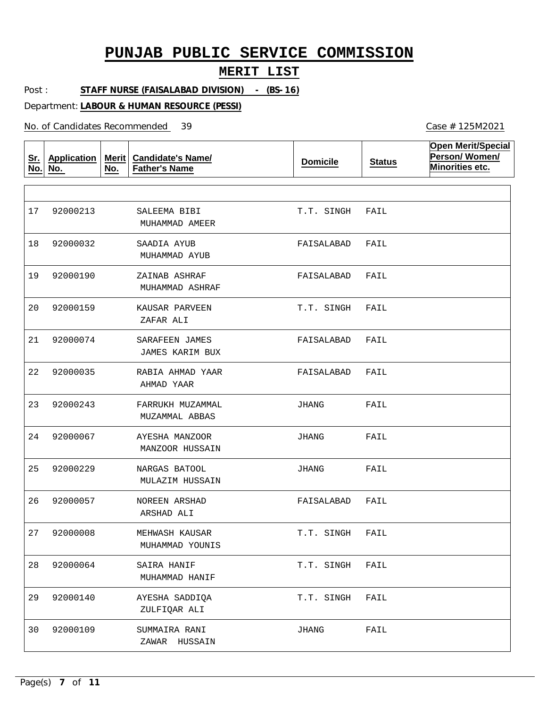#### **MERIT LIST**

Post : **STAFF NURSE (FAISALABAD DIVISION) - (BS-16)**

Department: **LABOUR & HUMAN RESOURCE (PESSI)**

No. of Candidates Recommended

**Sr. No. Application No. Merit No. Candidate's Name/ Father's Name Domicile Status Open Merit/Special Person/ Women/ Minorities etc.** SALEEMA BIBI SAADIA AYUB ZAINAB ASHRAF KAUSAR PARVEEN SARAFEEN JAMES RABIA AHMAD YAAR FARRUKH MUZAMMAL AYESHA MANZOOR NARGAS BATOOL NOREEN ARSHAD MEHWASH KAUSAR SAIRA HANIF AYESHA SADDIQA SUMMAIRA RANI MUHAMMAD AMEER MUHAMMAD AYUB MUHAMMAD ASHRAF ZAFAR ALI JAMES KARIM BUX AHMAD YAAR MUZAMMAL ABBAS MANZOOR HUSSAIN MULAZIM HUSSAIN ARSHAD ALI MUHAMMAD YOUNIS MUHAMMAD HANIF ZULFIQAR ALI ZAWAR HUSSAIN 17 18 19 92000190 20 92000159 21 22 23 92000243 24 25 26 27 28 29 92000140 30 92000213 92000032 92000074 92000035 92000067 92000229 92000057 92000008 92000064 92000109 T.T. SINGH FAISALABAD FAISALABAD T.T. SINGH FAISALABAD FAISALABAD JHANG JHANG JHANG FAISALABAD T.T. SINGH T.T. SINGH T.T. SINGH JHANG FAIL FAIL FAIL FAIL FAIL FAIL FAIL FAIL FAIL FAIL FAIL FAIL FAIL FAIL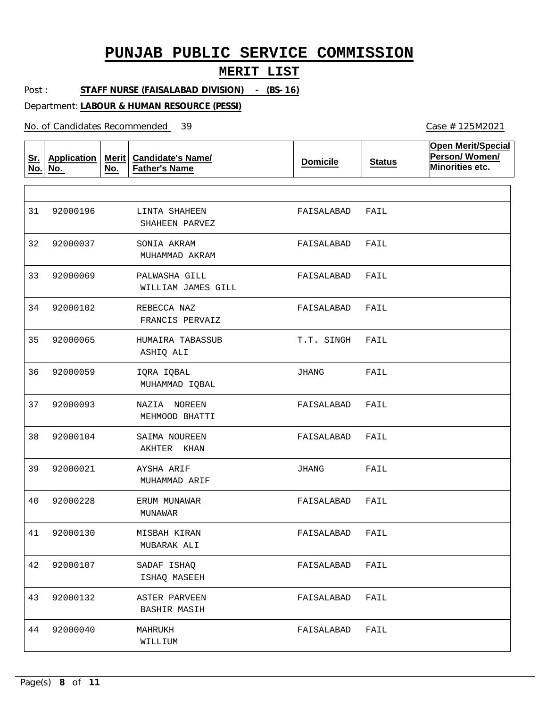#### **MERIT LIST**

Post : **STAFF NURSE (FAISALABAD DIVISION) - (BS-16)**

Department: **LABOUR & HUMAN RESOURCE (PESSI)**

No. of Candidates Recommended

**Sr. No. Application No. Merit No. Candidate's Name/ Father's Name Domicile Status Open Merit/Special Person/ Women/ Minorities etc.** LINTA SHAHEEN SONIA AKRAM PALWASHA GILL REBECCA NAZ HUMAIRA TABASSUB IQRA IQBAL NAZIA NOREEN SAIMA NOUREEN AYSHA ARIF ERUM MUNAWAR MISBAH KIRAN SADAF ISHAQ ASTER PARVEEN MAHRUKH SHAHEEN PARVEZ MUHAMMAD AKRAM WILLIAM JAMES GILL FRANCIS PERVAIZ ASHIQ ALI MUHAMMAD IQBAL MEHMOOD BHATTI AKHTER KHAN MUHAMMAD ARIF MUNAWAR MUBARAK ALI ISHAQ MASEEH BASHIR MASIH WILLIUM 31 32 33 92000069 34 92000102 35 36 37 92000093 38 39 40 41 42 43 92000132 44 92000196 92000037 92000065 92000059 92000104 92000021 92000228 92000130 92000107 92000040 FAISALABAD FAISALABAD FAISALABAD FAISALABAD FAIL T.T. SINGH JHANG FAISALABAD FAISALABAD JHANG FAISALABAD FAISALABAD FAISALABAD FAISALABAD FAISALABAD FAIL FAIL FAIL FAIL FAIL FAIL FAIL FAIL FAIL FAIL FAIL FAIL FAIL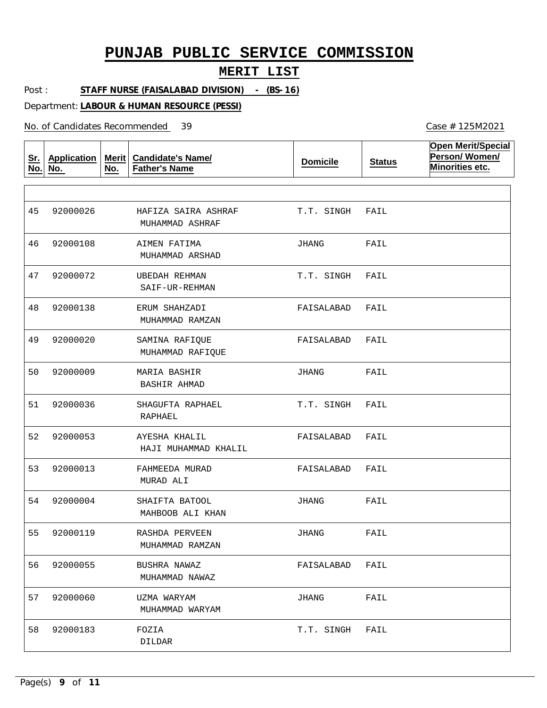#### **MERIT LIST**

Post : **STAFF NURSE (FAISALABAD DIVISION) - (BS-16)**

Department: **LABOUR & HUMAN RESOURCE (PESSI)**

No. of Candidates Recommended

**Sr. No. Application No. Merit No. Candidate's Name/ Father's Name Domicile Status Open Merit/Special Person/ Women/ Minorities etc.** HAFIZA SAIRA ASHRAF AIMEN FATIMA UBEDAH REHMAN ERUM SHAHZADI SAMINA RAFIQUE MARIA BASHIR SHAGUFTA RAPHAEL AYESHA KHALIL FAHMEEDA MURAD SHAIFTA BATOOL RASHDA PERVEEN BUSHRA NAWAZ UZMA WARYAM FOZIA MUHAMMAD ASHRAF MUHAMMAD ARSHAD SAIF-UR-REHMAN MUHAMMAD RAMZAN MUHAMMAD RAFIQUE BASHIR AHMAD RAPHAEL HAJI MUHAMMAD KHALIL MURAD ALI MAHBOOB ALI KHAN MUHAMMAD RAMZAN MUHAMMAD NAWAZ MUHAMMAD WARYAM DILDAR 45 46 47 48 92000138 49 50 51 52 92000053 53 92000013 54 92000004 55 56 57 92000060 58 92000026 92000108 92000072 92000020 92000009 92000036 92000119 92000055 92000183 T.T. SINGH JHANG T.T. SINGH FAISALABAD FAIL FAISALABAD JHANG T.T. SINGH FAISALABAD FAISALABAD JHANG JHANG FAISALABAD JHANG T.T. SINGH FAIL FAIL FAIL FAIL FAIL FAIL FAIL FAIL FAIL FAIL FAIL FAIL FAIL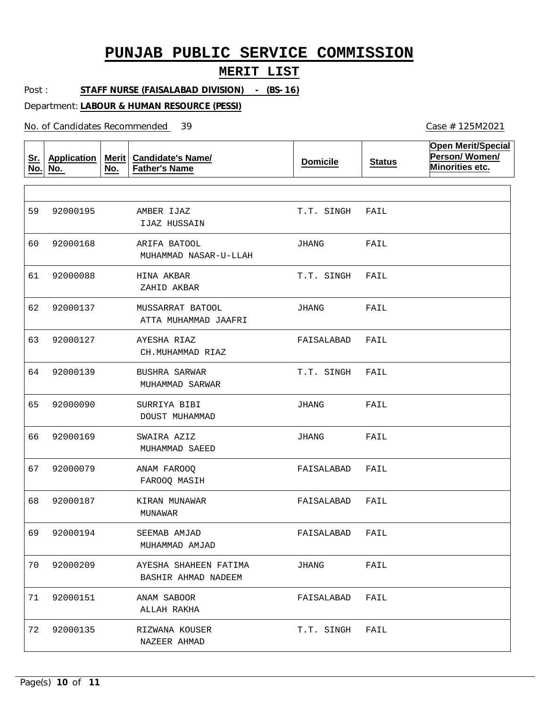#### **MERIT LIST**

Post : **STAFF NURSE (FAISALABAD DIVISION) - (BS-16)**

Department: **LABOUR & HUMAN RESOURCE (PESSI)**

No. of Candidates Recommended

**Sr. No. Application No. Merit No. Candidate's Name/ Father's Name Domicile Status Open Merit/Special Person/ Women/ Minorities etc.** AMBER IJAZ ARIFA BATOOL HINA AKBAR MUSSARRAT BATOOL AYESHA RIAZ BUSHRA SARWAR SURRIYA BIBI SWAIRA AZIZ ANAM FAROOQ KIRAN MUNAWAR SEEMAB AMJAD AYESHA SHAHEEN FATIMA ANAM SABOOR RIZWANA KOUSER IJAZ HUSSAIN MUHAMMAD NASAR-U-LLAH ZAHID AKBAR ATTA MUHAMMAD JAAFRI CH.MUHAMMAD RIAZ MUHAMMAD SARWAR DOUST MUHAMMAD MUHAMMAD SAEED FAROOQ MASIH MUNAWAR MUHAMMAD AMJAD BASHIR AHMAD NADEEM ALLAH RAKHA NAZEER AHMAD 59 60 61 62 92000137 63 64 65 92000090 66 67 68 69 70 71 92000151 72 92000135 92000195 92000168 92000088 92000127 92000139 92000169 92000079 92000187 92000194 92000209 T.T. SINGH JHANG T.T. SINGH JHANG FAISALABAD T.T. SINGH JHANG JHANG FAISALABAD FAISALABAD FAISALABAD JHANG FAISALABAD T.T. SINGH FAIL FAIL FAIL FAIL FAIL FAIL FAIL FAIL FAIL FAIL FAIL FAIL FAIL FAIL